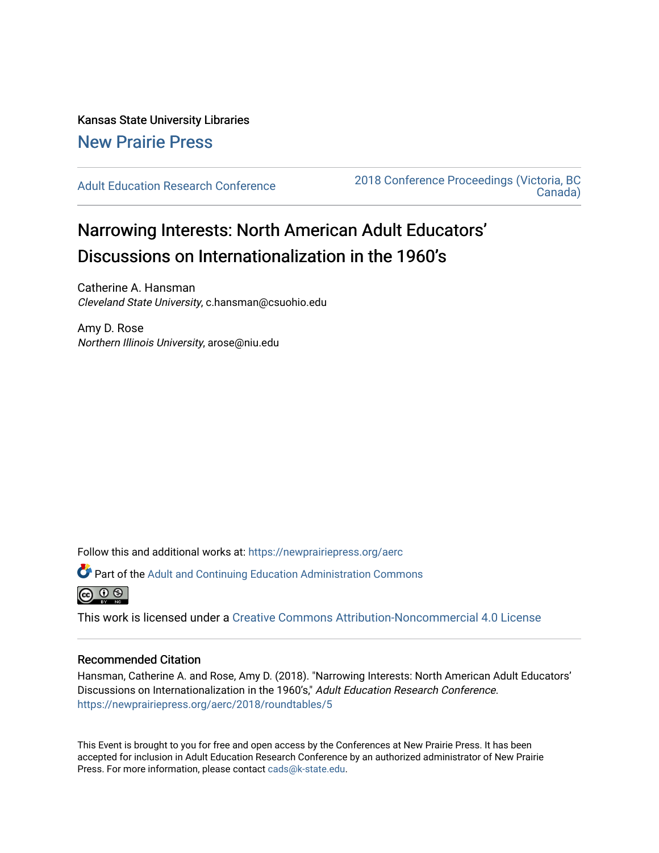Kansas State University Libraries [New Prairie Press](https://newprairiepress.org/) 

[Adult Education Research Conference](https://newprairiepress.org/aerc) [2018 Conference Proceedings \(Victoria, BC](https://newprairiepress.org/aerc/2018)  [Canada\)](https://newprairiepress.org/aerc/2018) 

## Narrowing Interests: North American Adult Educators' Discussions on Internationalization in the 1960's

Catherine A. Hansman Cleveland State University, c.hansman@csuohio.edu

Amy D. Rose Northern Illinois University, arose@niu.edu

Follow this and additional works at: [https://newprairiepress.org/aerc](https://newprairiepress.org/aerc?utm_source=newprairiepress.org%2Faerc%2F2018%2Froundtables%2F5&utm_medium=PDF&utm_campaign=PDFCoverPages)

Part of the [Adult and Continuing Education Administration Commons](http://network.bepress.com/hgg/discipline/789?utm_source=newprairiepress.org%2Faerc%2F2018%2Froundtables%2F5&utm_medium=PDF&utm_campaign=PDFCoverPages)



This work is licensed under a [Creative Commons Attribution-Noncommercial 4.0 License](https://creativecommons.org/licenses/by-nc/4.0/)

## Recommended Citation

Hansman, Catherine A. and Rose, Amy D. (2018). "Narrowing Interests: North American Adult Educators' Discussions on Internationalization in the 1960's," Adult Education Research Conference. <https://newprairiepress.org/aerc/2018/roundtables/5>

This Event is brought to you for free and open access by the Conferences at New Prairie Press. It has been accepted for inclusion in Adult Education Research Conference by an authorized administrator of New Prairie Press. For more information, please contact [cads@k-state.edu.](mailto:cads@k-state.edu)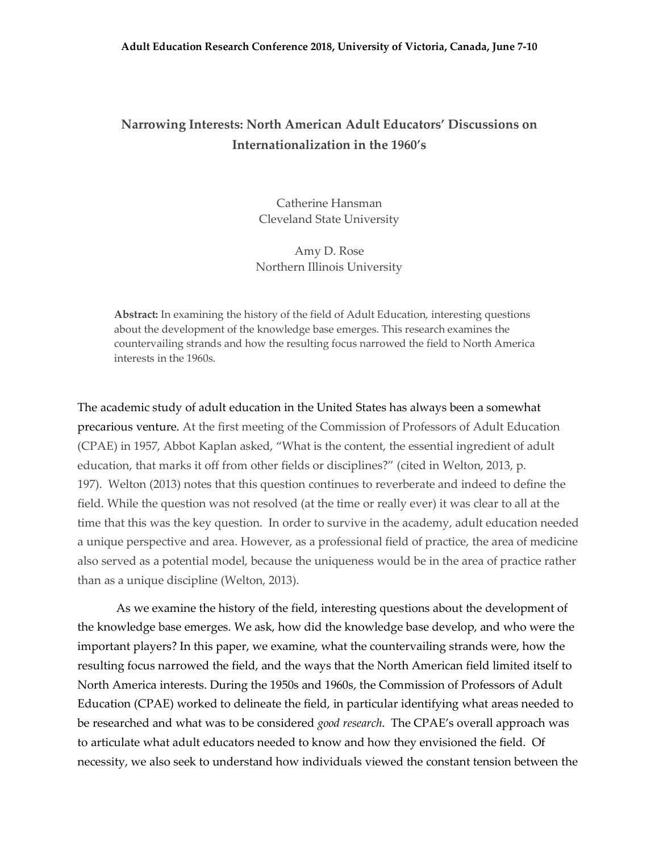## **Narrowing Interests: North American Adult Educators' Discussions on Internationalization in the 1960's**

Catherine Hansman Cleveland State University

Amy D. Rose Northern Illinois University

**Abstract:** In examining the history of the field of Adult Education, interesting questions about the development of the knowledge base emerges. This research examines the countervailing strands and how the resulting focus narrowed the field to North America interests in the 1960s.

The academic study of adult education in the United States has always been a somewhat precarious venture. At the first meeting of the Commission of Professors of Adult Education (CPAE) in 1957, Abbot Kaplan asked, "What is the content, the essential ingredient of adult education, that marks it off from other fields or disciplines?" (cited in Welton, 2013, p. 197). Welton (2013) notes that this question continues to reverberate and indeed to define the field. While the question was not resolved (at the time or really ever) it was clear to all at the time that this was the key question. In order to survive in the academy, adult education needed a unique perspective and area. However, as a professional field of practice, the area of medicine also served as a potential model, because the uniqueness would be in the area of practice rather than as a unique discipline (Welton, 2013).

As we examine the history of the field, interesting questions about the development of the knowledge base emerges. We ask, how did the knowledge base develop, and who were the important players? In this paper, we examine, what the countervailing strands were, how the resulting focus narrowed the field, and the ways that the North American field limited itself to North America interests. During the 1950s and 1960s, the Commission of Professors of Adult Education (CPAE) worked to delineate the field, in particular identifying what areas needed to be researched and what was to be considered *good research*. The CPAE's overall approach was to articulate what adult educators needed to know and how they envisioned the field. Of necessity, we also seek to understand how individuals viewed the constant tension between the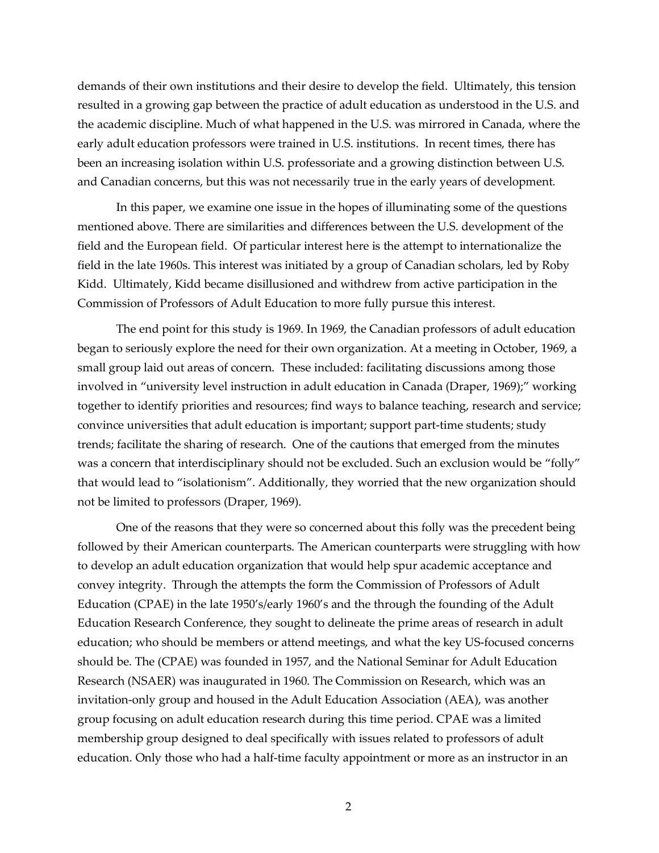demands of their own institutions and their desire to develop the field. Ultimately, this tension resulted in a growing gap between the practice of adult education as understood in the U.S. and the academic discipline. Much of what happened in the U.S. was mirrored in Canada, where the early adult education professors were trained in U.S. institutions. In recent times, there has been an increasing isolation within U.S. professoriate and a growing distinction between U.S. and Canadian concerns, but this was not necessarily true in the early years of development.

In this paper, we examine one issue in the hopes of illuminating some of the questions mentioned above. There are similarities and differences between the U.S. development of the field and the European field. Of particular interest here is the attempt to internationalize the field in the late 1960s. This interest was initiated by a group of Canadian scholars, led by Roby Kidd. Ultimately, Kidd became disillusioned and withdrew from active participation in the Commission of Professors of Adult Education to more fully pursue this interest.

The end point for this study is 1969. In 1969, the Canadian professors of adult education began to seriously explore the need for their own organization. At a meeting in October, 1969, a small group laid out areas of concern. These included: facilitating discussions among those involved in "university level instruction in adult education in Canada (Draper, 1969);" working together to identify priorities and resources; find ways to balance teaching, research and service; convince universities that adult education is important; support part-time students; study trends; facilitate the sharing of research. One of the cautions that emerged from the minutes was a concern that interdisciplinary should not be excluded. Such an exclusion would be "folly" that would lead to "isolationism". Additionally, they worried that the new organization should not be limited to professors (Draper, 1969).

One of the reasons that they were so concerned about this folly was the precedent being followed by their American counterparts. The American counterparts were struggling with how to develop an adult education organization that would help spur academic acceptance and convey integrity. Through the attempts the form the Commission of Professors of Adult Education (CPAE) in the late 1950's/early 1960's and the through the founding of the Adult Education Research Conference, they sought to delineate the prime areas of research in adult education; who should be members or attend meetings, and what the key US-focused concerns should be. The (CPAE) was founded in 1957, and the National Seminar for Adult Education Research (NSAER) was inaugurated in 1960. The Commission on Research, which was an invitation-only group and housed in the Adult Education Association (AEA), was another group focusing on adult education research during this time period. CPAE was a limited membership group designed to deal specifically with issues related to professors of adult education. Only those who had a half-time faculty appointment or more as an instructor in an

2